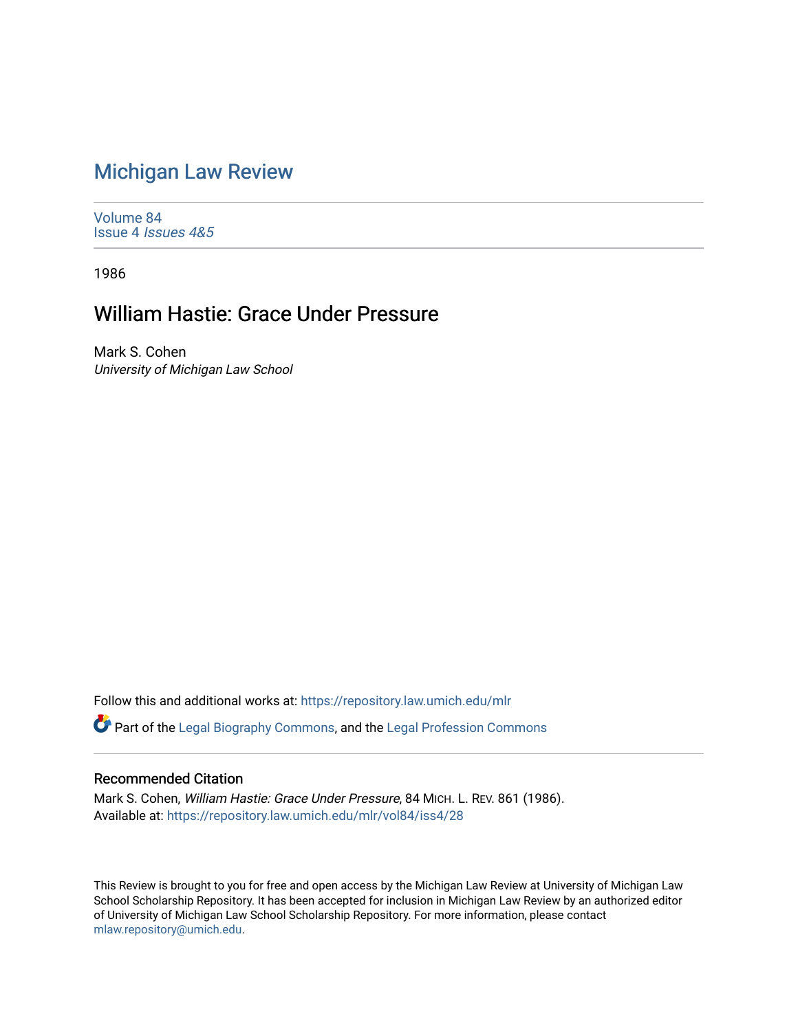## [Michigan Law Review](https://repository.law.umich.edu/mlr)

[Volume 84](https://repository.law.umich.edu/mlr/vol84) Issue 4 [Issues 4&5](https://repository.law.umich.edu/mlr/vol84/iss4) 

1986

## William Hastie: Grace Under Pressure

Mark S. Cohen University of Michigan Law School

Follow this and additional works at: [https://repository.law.umich.edu/mlr](https://repository.law.umich.edu/mlr?utm_source=repository.law.umich.edu%2Fmlr%2Fvol84%2Fiss4%2F28&utm_medium=PDF&utm_campaign=PDFCoverPages) 

Part of the [Legal Biography Commons,](http://network.bepress.com/hgg/discipline/834?utm_source=repository.law.umich.edu%2Fmlr%2Fvol84%2Fiss4%2F28&utm_medium=PDF&utm_campaign=PDFCoverPages) and the [Legal Profession Commons](http://network.bepress.com/hgg/discipline/1075?utm_source=repository.law.umich.edu%2Fmlr%2Fvol84%2Fiss4%2F28&utm_medium=PDF&utm_campaign=PDFCoverPages)

## Recommended Citation

Mark S. Cohen, William Hastie: Grace Under Pressure, 84 MICH. L. REV. 861 (1986). Available at: [https://repository.law.umich.edu/mlr/vol84/iss4/28](https://repository.law.umich.edu/mlr/vol84/iss4/28?utm_source=repository.law.umich.edu%2Fmlr%2Fvol84%2Fiss4%2F28&utm_medium=PDF&utm_campaign=PDFCoverPages) 

This Review is brought to you for free and open access by the Michigan Law Review at University of Michigan Law School Scholarship Repository. It has been accepted for inclusion in Michigan Law Review by an authorized editor of University of Michigan Law School Scholarship Repository. For more information, please contact [mlaw.repository@umich.edu.](mailto:mlaw.repository@umich.edu)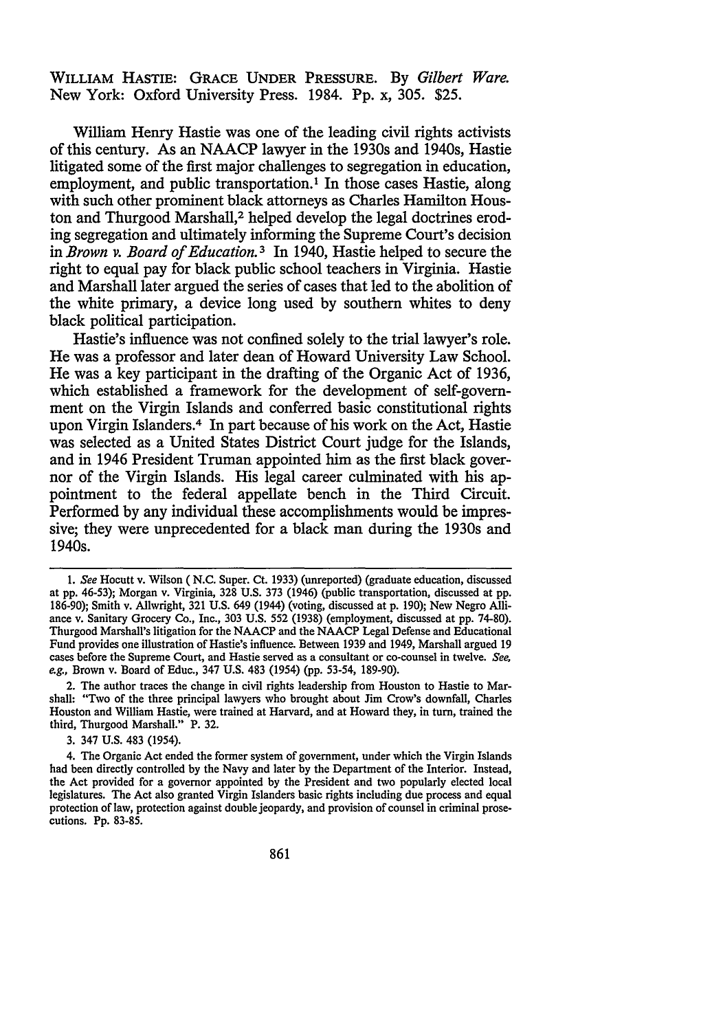WILLIAM HASTIE: GRACE UNDER PRESSURE. By *Gilbert Ware.*  New York: Oxford University Press. 1984. Pp. x, 305. \$25.

William Henry Hastie was one of the leading civil rights activists of this century. As an NAACP lawyer in the 1930s and 1940s, Hastie litigated some of the first major challenges to segregation in education, employment, and public transportation.<sup>1</sup> In those cases Hastie, along with such other prominent black attorneys as Charles Hamilton Houston and Thurgood Marshall,<sup>2</sup> helped develop the legal doctrines eroding segregation and ultimately informing the Supreme Court's decision in *Brown v. Board of Education.* 3 In 1940, Hastie helped to secure the right to equal pay for black public school teachers in Virginia. Hastie and Marshall later argued the series of cases that led to the abolition of the white primary, a device long used by southern whites to deny black political participation.

Hastie's influence was not confined solely to the trial lawyer's role. He was a professor and later dean of Howard University Law School. He was a key participant in the drafting of the Organic Act of 1936, which established a framework for the development of self-government on the Virgin Islands and conferred basic constitutional rights upon Virgin Islanders.4 In part because of his work on the Act, Hastie was selected as a United States District Court judge for the Islands, and in 1946 President Truman appointed him as the first black governor of the Virgin Islands. His legal career culminated with his appointment to the federal appellate bench in the Third Circuit. Performed by any individual these accomplishments would be impressive; they were unprecedented for a black man during the 1930s and 1940s.

2. The author traces the change in civil rights leadership from Houston to Hastie to Marshall: "Two of the three principal lawyers who brought about Jim Crow's downfall, Charles Houston and William Hastie, were trained at Harvard, and at Howard they, in turn, trained the third, Thurgood Marshall." P. 32.

3. 347 U.S. 483 (1954).

<sup>1.</sup> *See* Hocutt v. Wilson ( N.C. Super. Ct. 1933) (unreported) (graduate education, discussed at pp. 46-53); Morgan v. Virginia, 328 U.S. 373 (1946) (public transportation, discussed at pp. 186-90); Smith v. Allwright, 321 U.S. 649 (1944) (voting, discussed at p. 190); New Negro Alliance v. Sanitary Grocery Co., Inc., 303 U.S. 552 (1938) (employment, discussed at pp. 74-80). Thurgood Marshall's litigation for the NAACP and the NAACP Legal Defense and Educational Fund provides one illustration of Hastie's influence. Between 1939 and 1949, Marshall argued 19 cases before the Supreme Court, and Hastie served as a consultant or co-counsel in twelve. *See, e.g.,* Brown v. Board of Educ., 347 U.S. 483 (1954) (pp. 53-54, 189-90).

<sup>4.</sup> The Organic Act ended the former system of government, under which the Virgin Islands had been directly controlled by the Navy and later by the Department of the Interior. Instead, the Act provided for a governor appointed by the President and two popularly elected local legislatures. The Act also granted Virgin Islanders basic rights including due process and equal protection of law, protection against double jeopardy, and provision of counsel in criminal prosecutions. Pp. 83-85.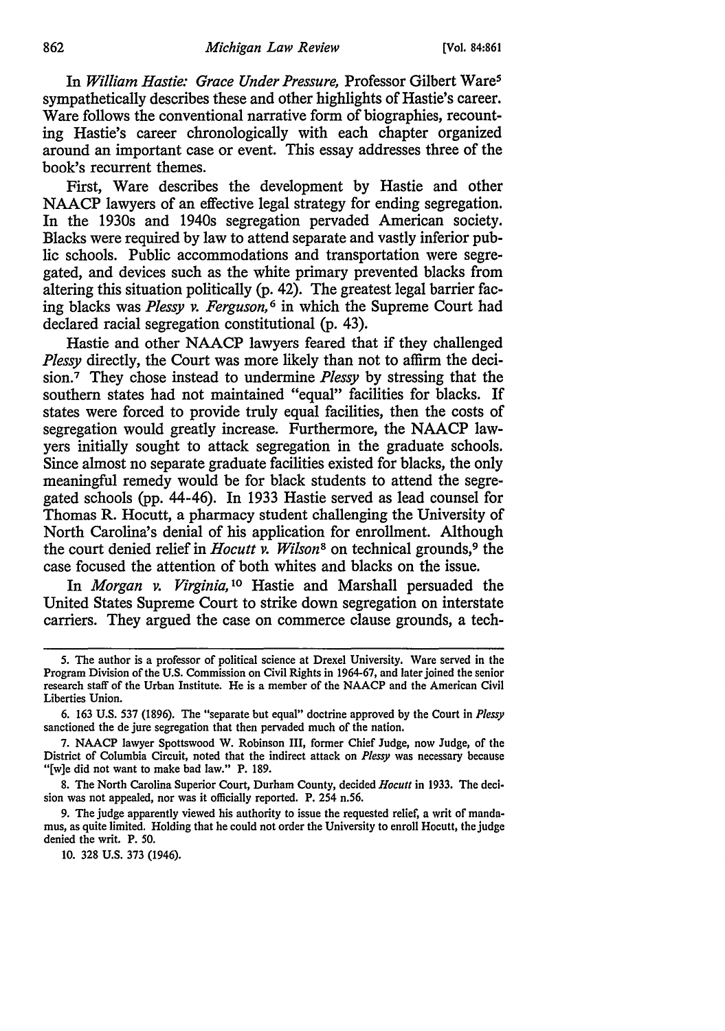In *William Hastie: Grace Under Pressure,* Professor Gilbert Ware5 sympathetically describes these and other highlights of Hastie's career. Ware follows the conventional narrative form of biographies, recounting Hastie's career chronologically with each chapter organized around an important case or event. This essay addresses three of the book's recurrent themes.

First, Ware describes the development by Hastie and other NAACP lawyers of an effective legal strategy for ending segregation. In the 1930s and 1940s segregation pervaded American society. Blacks were required by law to attend separate and vastly inferior public schools. Public accommodations and transportation were segregated, and devices such as the white primary prevented blacks from altering this situation politically (p. 42). The greatest legal barrier facing blacks was *Plessy v. Ferguson,* 6 in which the Supreme Court had declared racial segregation constitutional (p. 43).

Hastie and other NAACP lawyers feared that if they challenged *Plessy* directly, the Court was more likely than not to affirm the decision.<sup>7</sup> They chose instead to undermine *Plessy* by stressing that the southern states had not maintained "equal" facilities for blacks. If states were forced to provide truly equal facilities, then the costs of segregation would greatly increase. Furthermore, the NAACP lawyers initially sought to attack segregation in the graduate schools. Since almost no separate graduate facilities existed for blacks, the only meaningful remedy would be for black students to attend the segregated schools (pp. 44-46). In 1933 Hastie served as lead counsel for Thomas R. Hocutt, a pharmacy student challenging the University of North Carolina's denial of his application for enrollment. Although the court denied relief in *Hocutt v. Wilson8* on technical grounds,9 the case focused the attention of both whites and blacks on the issue.

In *Morgan v. Virginia,* 10 Hastie and Marshall persuaded the United States Supreme Court to strike down segregation on interstate carriers. They argued the case on commerce clause grounds, a tech-

8. The North Carolina Superior Court, Durham County, decided *Hocutt* in 1933. The deci· sion was not appealed, nor was it officially reported. P. 254 n.56.

9. The judge apparently viewed his authority to issue the requested relief, a writ of mandn· mus, as quite limited. Holding that he could not order the University to enroll Hocutt, the judge denied the writ. P. 50.

10. 328 U.S. 373 (1946).

*<sup>5.</sup>* The author is a professor of political science at Drexel University. Ware served in the Program Division of the U.S. Commission on Civil Rights in 1964-67, and later joined the senior research staff of the Urban Institute. He is a member of the NAACP and the American Civil Liberties Union.

<sup>6. 163</sup> U.S. 537 (1896). The "separate but equal" doctrine approved by the Court in *Plessy*  sanctioned the de jure segregation that then pervaded much of the nation.

<sup>7.</sup> NAACP lawyer Spottswood W. Robinson III, former Chief Judge, now Judge, of the District of Columbia Circuit, noted that the indirect attack on *Plessy* was necessary because "[w]e did not want to make bad law." P. 189.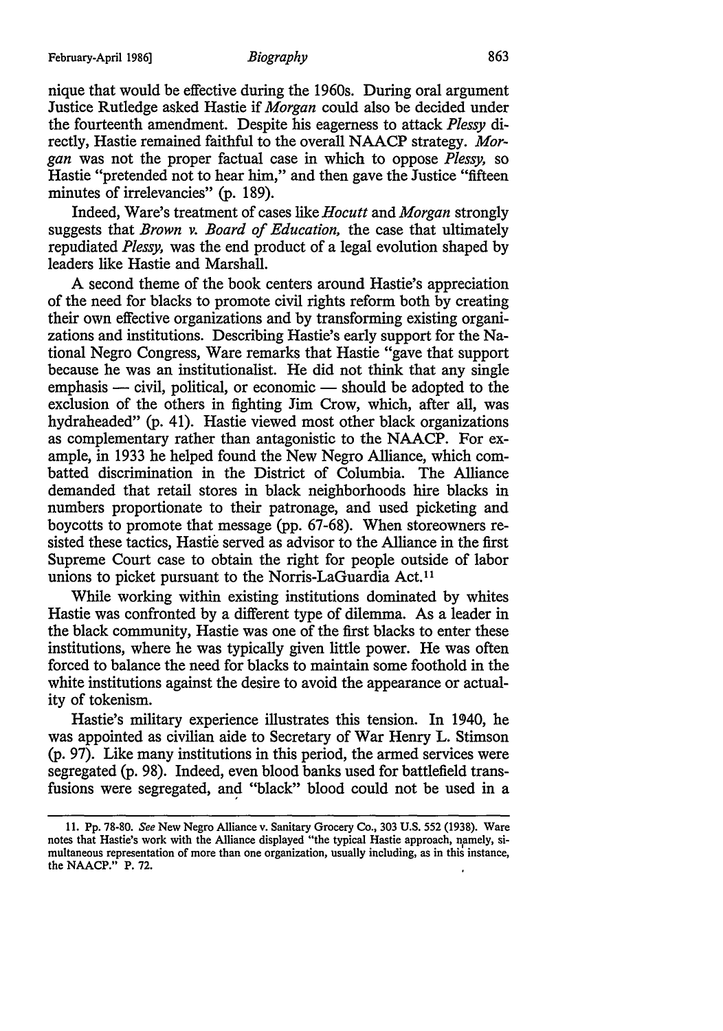nique that would be effective during the 1960s. During oral argument Justice Rutledge asked Hastie if *Morgan* could also be decided under the fourteenth amendment. Despite his eagerness to attack *Plessy* directly, Hastie remained faithful to the overall NAACP strategy. *Morgan* was not the proper factual case in which to oppose *Plessy,* so Hastie "pretended not to hear him," and then gave the Justice "fifteen minutes of irrelevancies" (p. 189).

Indeed, Ware's treatment of cases like *Hocutt* and *Morgan* strongly suggests that *Brown v. Board of Education,* the case that ultimately repudiated *Plessy,* was the end product of a legal evolution shaped by leaders like Hastie and Marshall.

A second theme of the book centers around Hastie's appreciation of the need for blacks to promote civil rights reform both by creating their own effective organizations and by transforming existing organizations and institutions. Describing Hastie's early support for the National Negro Congress, Ware remarks that Hastie "gave that support because he was an institutionalist. He did not think that any single  $emphasis$  - civil, political, or economic  $-$  should be adopted to the exclusion of the others in fighting Jim Crow, which, after all, was hydraheaded" (p. 41). Hastie viewed most other black organizations as complementary rather than antagonistic to the NAACP. For example, in 1933 he helped found the New Negro Alliance, which combatted discrimination in the District of Columbia. The Alliance demanded that retail stores in black neighborhoods hire blacks in numbers proportionate to their patronage, and used picketing and boycotts to promote that message (pp. 67-68). When storeowners resisted these tactics, Hastie served as advisor to the Alliance in the first Supreme Court case to obtain the right for people outside of labor unions to picket pursuant to the Norris-LaGuardia Act.<sup>11</sup>

While working within existing institutions dominated by whites Hastie was confronted by a different type of dilemma. As a leader in the black community, Hastie was one of the first blacks to enter these institutions, where he was typically given little power. He was often forced to balance the need for blacks to maintain some foothold in the white institutions against the desire to avoid the appearance or actuality of tokenism.

Hastie's military experience illustrates this tension. In 1940, he was appointed as civilian aide to Secretary of War Henry L. Stimson (p. 97). Like many institutions in this period, the armed services were segregated (p. 98). Indeed, even blood banks used for battlefield transfusions were segregated, and "black" blood could not be used in a

<sup>11.</sup> Pp. 78-80. *See* New Negro Alliance v. Sanitary Grocery Co., 303 U.S. 552 (1938). Ware notes that Hastie's work with the Alliance displayed "the typical Hastie approach, namely, simultaneous representation of more than one organization, usually including, as in this instance, the NAACP." P. 72.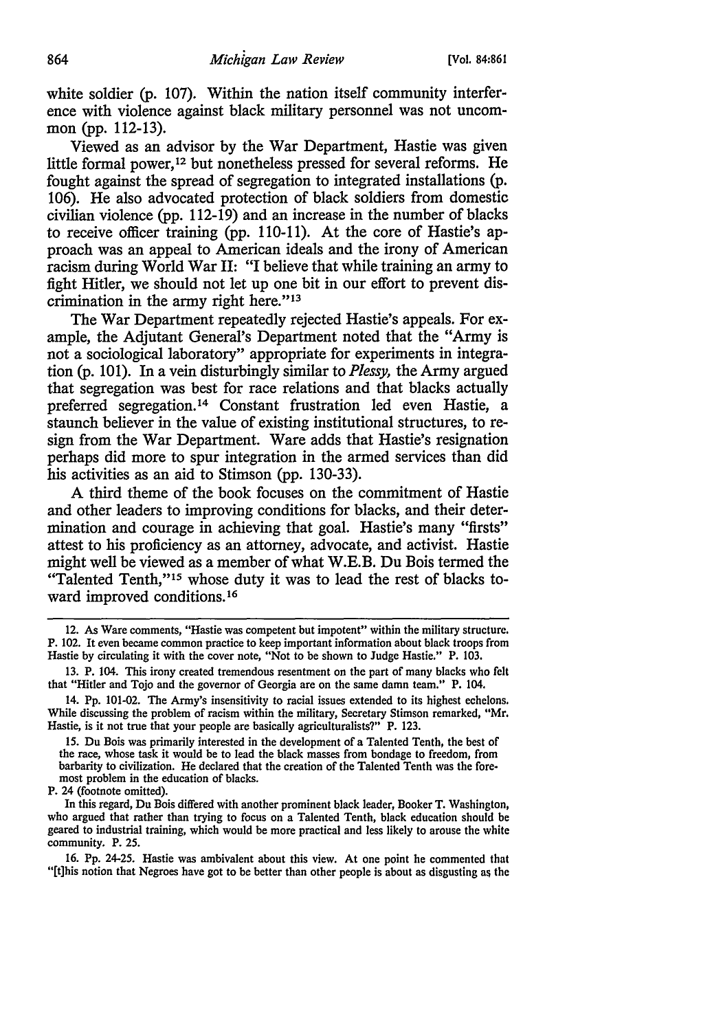white soldier (p. 107). Within the nation itself community interference with violence against black military personnel was not uncommon (pp. 112-13).

Viewed as an advisor by the War Department, Hastie was given little formal power, 12 but nonetheless pressed for several reforms. He fought against the spread of segregation to integrated installations (p. 106). He also advocated protection of black soldiers from domestic civilian violence (pp. 112-19) and an increase in the number of blacks to receive officer training (pp. 110-11). At the core of Hastie's approach was an appeal to American ideals and the irony of American racism during World War II: "I believe that while training an army to fight Hitler, we should not let up one bit in our effort to prevent discrimination in the army right here."13

The War Department repeatedly rejected Hastie's appeals. For example, the Adjutant General's Department noted that the "Army is not a sociological laboratory" appropriate for experiments in integration (p. 101). In a vein disturbingly similar to *Plessy,* the Army argued that segregation was best for race relations and that blacks actually preferred segregation.14 Constant frustration led even Hastie, a staunch believer in the value of existing institutional structures, to resign from the War Department. Ware adds that Hastie's resignation perhaps did more to spur integration in the armed services than did his activities as an aid to Stimson (pp. 130-33).

A third theme of the book focuses on the commitment of Hastie and other leaders to improving conditions for blacks, and their determination and courage in achieving that goal. Hastie's many "firsts" attest to his proficiency as an attorney, advocate, and activist. Hastie might well be viewed as a member of what W.E.B. Du Bois termed the "Talented Tenth,"15 whose duty it was to lead the rest of blacks toward improved conditions.16

P. 24 (footnote omitted).

<sup>12.</sup> As Ware comments, "Hastie was competent but impotent" within the military structure. P. 102. It even became common practice to keep important information about black troops from Hastie by circulating it with the cover note, "Not to be shown to Judge Hastie." P. 103.

<sup>13.</sup> P. 104. This irony created tremendous resentment on the part of many blacks who felt that "Hitler and Tojo and the governor of Georgia are on the same damn team." P. 104.

<sup>14.</sup> Pp. 101-02. The Army's insensitivity to racial issues extended to its highest echelons. While discussing the problem of racism within the military, Secretary Stimson remarked, "Mr. Hastie, is it not true that your people are basically agriculturalists?" P. 123.

<sup>15.</sup> Du Bois was primarily interested in the development of a Talented Tenth, the best of the race, whose task it would be to lead the black masses from bondage to freedom, from barbarity to civilization. He declared that the creation of the Talented Tenth was the foremost problem in the education of blacks.

In this regard, Du Bois differed with another prominent black leader, Booker T. Washington, who argued that rather than trying to focus on a Talented Tenth, black education should be geared to industrial training, which would be more practical and less likely to arouse the white community. P. 25.

<sup>16.</sup> Pp. 24-25. Hastie was ambivalent about this view. At one point he commented that "[t]his notion that Negroes have got to be better than other people is about as disgusting as the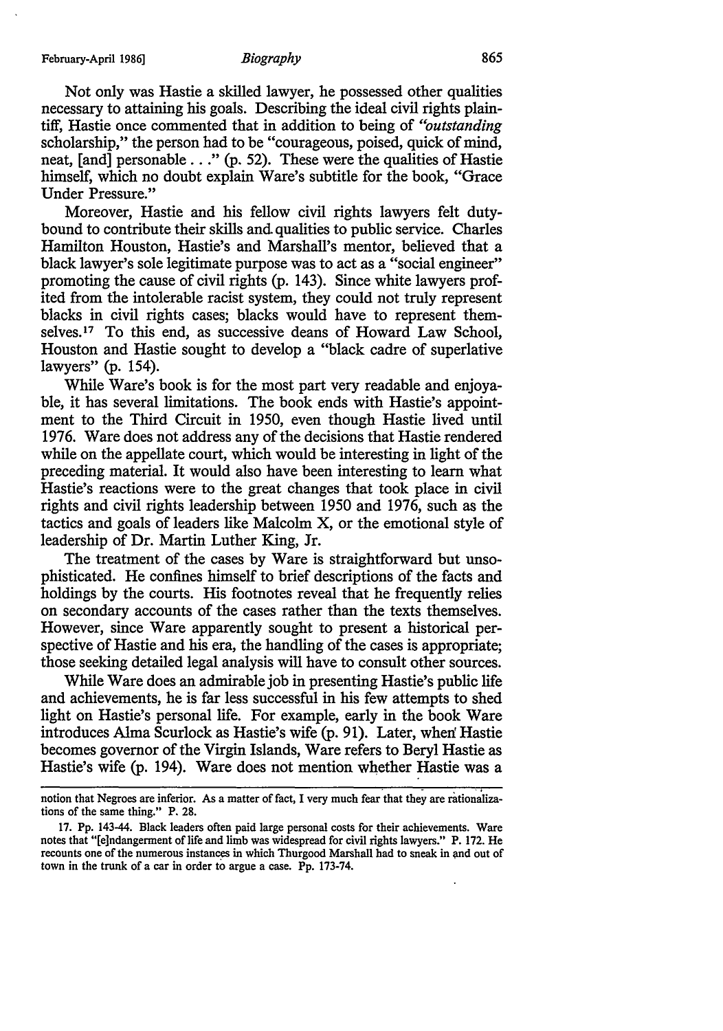Not only was Hastie a skilled lawyer, he possessed other qualities necessary to attaining his goals. Describing the ideal civil rights plaintiff, Hastie once commented that in addition to being of *"outstanding*  scholarship," the person had to be "courageous, poised, quick of mind, neat, [and] personable . . ." (p. 52). These were the qualities of Hastie himself, which no doubt explain Ware's subtitle for the book, "Grace Under Pressure."

Moreover, Hastie and his fellow civil rights lawyers felt dutybound to contribute their skills and qualities to public service. Charles Hamilton Houston, Hastie's and Marshall's mentor, believed that a black lawyer's sole legitimate purpose was to act as a "social engineer" promoting the cause of civil rights (p. 143). Since white lawyers profited from the intolerable racist system, they could not truly represent blacks in civil rights cases; blacks would have to represent themselves.17 To this end, as successive deans of Howard Law School, Houston and Hastie sought to develop a "black cadre of superlative lawyers" (p. 154).

While Ware's book is for the most part very readable and enjoyable, it has several limitations. The book ends with Hastie's appointment to the Third Circuit in 1950, even though Hastie lived until 1976. Ware does not address any of the decisions that Hastie rendered while on the appellate court, which would be interesting in light of the preceding material. It would also have been interesting to learn what Hastie's reactions were to the great changes that took place in civil rights and civil rights leadership between 1950 and 1976, such as the tactics and goals of leaders like Malcolm X, or the emotional style of leadership of Dr. Martin Luther King, Jr.

The treatment of the cases by Ware is straightforward but unsophisticated. He confines himself to brief descriptions of the facts and holdings by the courts. His footnotes reveal that he frequently relies on secondary accounts of the cases rather than the texts themselves. However, since Ware apparently sought to present a historical perspective of Hastie and his era, the handling of the cases is appropriate; those seeking detailed legal analysis will have to consult other sources.

While Ware does an admirable job in presenting Hastie's public life and achievements, he is far less successful in his few attempts to shed light on Hastie's personal life. For example, early in the book Ware introduces Alma Scurlock as Hastie's wife (p. 91). Later, when Hastie becomes governor of the Virgin Islands, Ware refers to Beryl Hastie as Hastie's wife (p. 194). Ware does not mention whether Hastie was a

notion that Negroes are inferior. As a matter of fact, I very much fear that they are rationalizations of the same thing." P. 28.

<sup>17.</sup> Pp. 143-44. Black leaders often paid large personal costs for their achievements. Ware notes that "[e]ndangerment of life and limb was widespread for civil rights lawyers." P. 172. He recounts one of the numerous instances in which Thurgood Marshall had to sneak in and out of town in the trunk of a car in order to argue a case. Pp. 173-74.